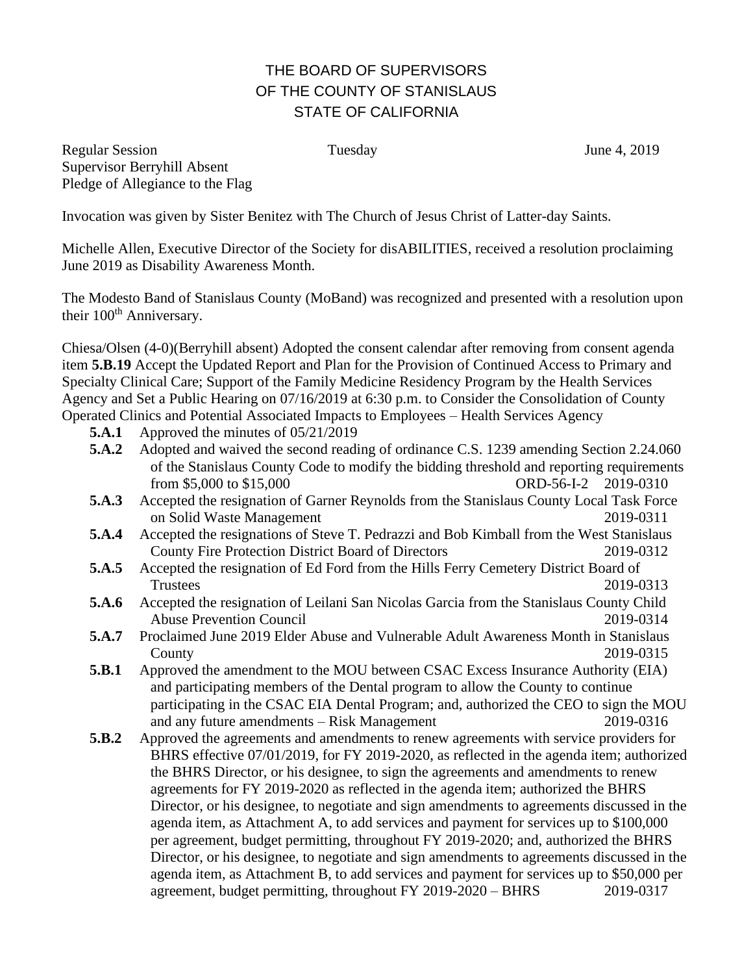## THE BOARD OF SUPERVISORS OF THE COUNTY OF STANISLAUS STATE OF CALIFORNIA

Regular Session Tuesday Tuesday June 4, 2019 Supervisor Berryhill Absent Pledge of Allegiance to the Flag

Invocation was given by Sister Benitez with The Church of Jesus Christ of Latter-day Saints.

Michelle Allen, Executive Director of the Society for disABILITIES, received a resolution proclaiming June 2019 as Disability Awareness Month.

The Modesto Band of Stanislaus County (MoBand) was recognized and presented with a resolution upon their 100<sup>th</sup> Anniversary.

Chiesa/Olsen (4-0)(Berryhill absent) Adopted the consent calendar after removing from consent agenda item **5.B.19** Accept the Updated Report and Plan for the Provision of Continued Access to Primary and Specialty Clinical Care; Support of the Family Medicine Residency Program by the Health Services Agency and Set a Public Hearing on 07/16/2019 at 6:30 p.m. to Consider the Consolidation of County Operated Clinics and Potential Associated Impacts to Employees – Health Services Agency

- **5.A.1** Approved the minutes of 05/21/2019
- **5.A.2** Adopted and waived the second reading of ordinance C.S. 1239 amending Section 2.24.060 of the Stanislaus County Code to modify the bidding threshold and reporting requirements from \$5,000 to \$15,000 ORD-56-I-2 2019-0310
- **5.A.3** Accepted the resignation of Garner Reynolds from the Stanislaus County Local Task Force on Solid Waste Management 2019-0311
- **5.A.4** Accepted the resignations of Steve T. Pedrazzi and Bob Kimball from the West Stanislaus County Fire Protection District Board of Directors 2019-0312
- **5.A.5** Accepted the resignation of Ed Ford from the Hills Ferry Cemetery District Board of Trustees 2019-0313
- **5.A.6** Accepted the resignation of Leilani San Nicolas Garcia from the Stanislaus County Child Abuse Prevention Council 2019-0314
- **5.A.7** Proclaimed June 2019 Elder Abuse and Vulnerable Adult Awareness Month in Stanislaus County 2019-0315
- **5.B.1** Approved the amendment to the MOU between CSAC Excess Insurance Authority (EIA) and participating members of the Dental program to allow the County to continue participating in the CSAC EIA Dental Program; and, authorized the CEO to sign the MOU and any future amendments – Risk Management 2019-0316
- **5.B.2** Approved the agreements and amendments to renew agreements with service providers for BHRS effective 07/01/2019, for FY 2019-2020, as reflected in the agenda item; authorized the BHRS Director, or his designee, to sign the agreements and amendments to renew agreements for FY 2019-2020 as reflected in the agenda item; authorized the BHRS Director, or his designee, to negotiate and sign amendments to agreements discussed in the agenda item, as Attachment A, to add services and payment for services up to \$100,000 per agreement, budget permitting, throughout FY 2019-2020; and, authorized the BHRS Director, or his designee, to negotiate and sign amendments to agreements discussed in the agenda item, as Attachment B, to add services and payment for services up to \$50,000 per agreement, budget permitting, throughout FY 2019-2020 – BHRS 2019-0317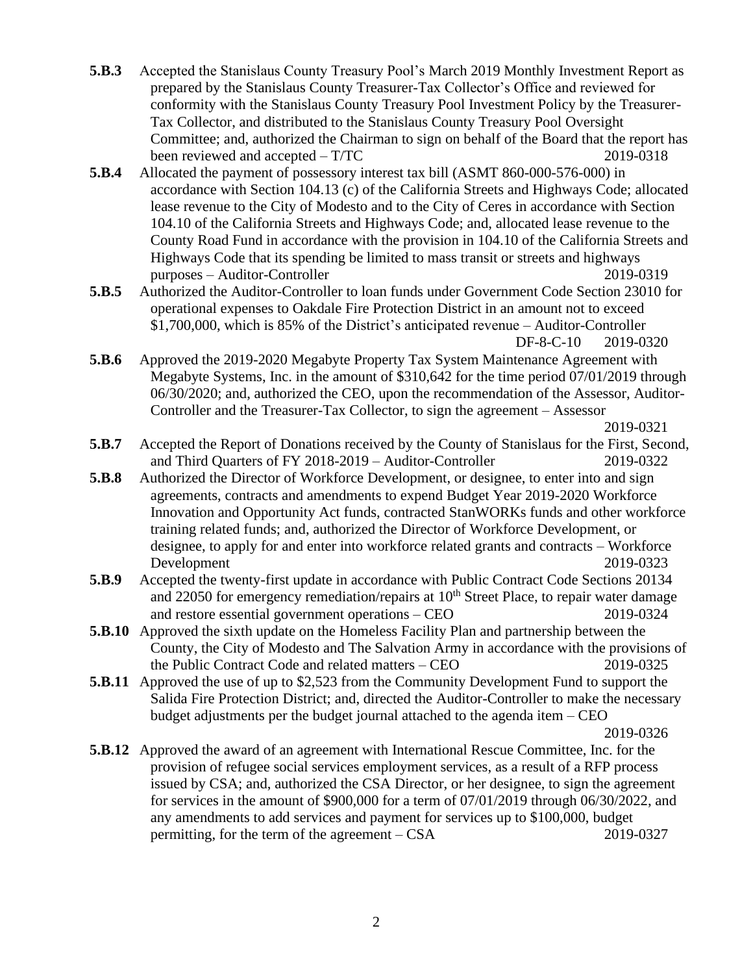- **5.B.3** Accepted the Stanislaus County Treasury Pool's March 2019 Monthly Investment Report as prepared by the Stanislaus County Treasurer-Tax Collector's Office and reviewed for conformity with the Stanislaus County Treasury Pool Investment Policy by the Treasurer-Tax Collector, and distributed to the Stanislaus County Treasury Pool Oversight Committee; and, authorized the Chairman to sign on behalf of the Board that the report has been reviewed and accepted – T/TC 2019-0318
- **5.B.4** Allocated the payment of possessory interest tax bill (ASMT 860-000-576-000) in accordance with Section 104.13 (c) of the California Streets and Highways Code; allocated lease revenue to the City of Modesto and to the City of Ceres in accordance with Section 104.10 of the California Streets and Highways Code; and, allocated lease revenue to the County Road Fund in accordance with the provision in 104.10 of the California Streets and Highways Code that its spending be limited to mass transit or streets and highways purposes – Auditor-Controller 2019-0319
- **5.B.5** Authorized the Auditor-Controller to loan funds under Government Code Section 23010 for operational expenses to Oakdale Fire Protection District in an amount not to exceed \$1,700,000, which is 85% of the District's anticipated revenue – Auditor-Controller

DF-8-C-10 2019-0320

**5.B.6** Approved the 2019-2020 Megabyte Property Tax System Maintenance Agreement with Megabyte Systems, Inc. in the amount of \$310,642 for the time period 07/01/2019 through 06/30/2020; and, authorized the CEO, upon the recommendation of the Assessor, Auditor-Controller and the Treasurer-Tax Collector, to sign the agreement – Assessor

2019-0321

- **5.B.7** Accepted the Report of Donations received by the County of Stanislaus for the First, Second, and Third Quarters of FY 2018-2019 – Auditor-Controller 2019-0322
- **5.B.8** Authorized the Director of Workforce Development, or designee, to enter into and sign agreements, contracts and amendments to expend Budget Year 2019-2020 Workforce Innovation and Opportunity Act funds, contracted StanWORKs funds and other workforce training related funds; and, authorized the Director of Workforce Development, or designee, to apply for and enter into workforce related grants and contracts – Workforce Development 2019-0323
- **5.B.9** Accepted the twenty-first update in accordance with Public Contract Code Sections 20134 and 22050 for emergency remediation/repairs at  $10<sup>th</sup>$  Street Place, to repair water damage and restore essential government operations – CEO 2019-0324
- **5.B.10** Approved the sixth update on the Homeless Facility Plan and partnership between the County, the City of Modesto and The Salvation Army in accordance with the provisions of the Public Contract Code and related matters – CEO 2019-0325
- **5.B.11** Approved the use of up to \$2,523 from the Community Development Fund to support the Salida Fire Protection District; and, directed the Auditor-Controller to make the necessary budget adjustments per the budget journal attached to the agenda item – CEO

2019-0326

**5.B.12** Approved the award of an agreement with International Rescue Committee, Inc. for the provision of refugee social services employment services, as a result of a RFP process issued by CSA; and, authorized the CSA Director, or her designee, to sign the agreement for services in the amount of \$900,000 for a term of 07/01/2019 through 06/30/2022, and any amendments to add services and payment for services up to \$100,000, budget permitting, for the term of the agreement – CSA 2019-0327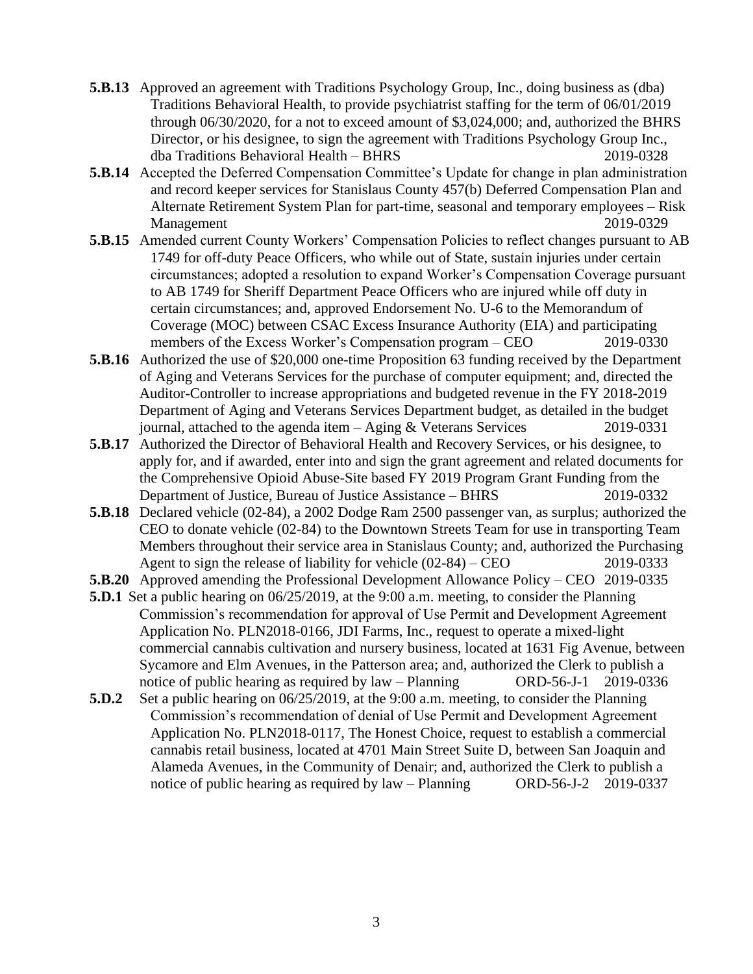- **5.B.13** Approved an agreement with Traditions Psychology Group, Inc., doing business as (dba) Traditions Behavioral Health, to provide psychiatrist staffing for the term of 06/01/2019 through 06/30/2020, for a not to exceed amount of \$3,024,000; and, authorized the BHRS Director, or his designee, to sign the agreement with Traditions Psychology Group Inc., dba Traditions Behavioral Health – BHRS 2019-0328
- **5.B.14** Accepted the Deferred Compensation Committee's Update for change in plan administration and record keeper services for Stanislaus County 457(b) Deferred Compensation Plan and Alternate Retirement System Plan for part-time, seasonal and temporary employees – Risk Management 2019-0329
- **5.B.15** Amended current County Workers' Compensation Policies to reflect changes pursuant to AB 1749 for off-duty Peace Officers, who while out of State, sustain injuries under certain circumstances; adopted a resolution to expand Worker's Compensation Coverage pursuant to AB 1749 for Sheriff Department Peace Officers who are injured while off duty in certain circumstances; and, approved Endorsement No. U-6 to the Memorandum of Coverage (MOC) between CSAC Excess Insurance Authority (EIA) and participating members of the Excess Worker's Compensation program – CEO 2019-0330
- **5.B.16** Authorized the use of \$20,000 one-time Proposition 63 funding received by the Department of Aging and Veterans Services for the purchase of computer equipment; and, directed the Auditor-Controller to increase appropriations and budgeted revenue in the FY 2018-2019 Department of Aging and Veterans Services Department budget, as detailed in the budget journal, attached to the agenda item  $-$  Aging & Veterans Services 2019-0331
- **5.B.17** Authorized the Director of Behavioral Health and Recovery Services, or his designee, to apply for, and if awarded, enter into and sign the grant agreement and related documents for the Comprehensive Opioid Abuse-Site based FY 2019 Program Grant Funding from the Department of Justice, Bureau of Justice Assistance – BHRS 2019-0332
- **5.B.18** Declared vehicle (02-84), a 2002 Dodge Ram 2500 passenger van, as surplus; authorized the CEO to donate vehicle (02-84) to the Downtown Streets Team for use in transporting Team Members throughout their service area in Stanislaus County; and, authorized the Purchasing Agent to sign the release of liability for vehicle (02-84) – CEO 2019-0333
- **5.B.20** Approved amending the Professional Development Allowance Policy CEO 2019-0335
- **5.D.1** Set a public hearing on 06/25/2019, at the 9:00 a.m. meeting, to consider the Planning Commission's recommendation for approval of Use Permit and Development Agreement Application No. PLN2018-0166, JDI Farms, Inc., request to operate a mixed-light commercial cannabis cultivation and nursery business, located at 1631 Fig Avenue, between Sycamore and Elm Avenues, in the Patterson area; and, authorized the Clerk to publish a notice of public hearing as required by law – Planning ORD-56-J-1 2019-0336
- **5.D.2** Set a public hearing on 06/25/2019, at the 9:00 a.m. meeting, to consider the Planning Commission's recommendation of denial of Use Permit and Development Agreement Application No. PLN2018-0117, The Honest Choice, request to establish a commercial cannabis retail business, located at 4701 Main Street Suite D, between San Joaquin and Alameda Avenues, in the Community of Denair; and, authorized the Clerk to publish a notice of public hearing as required by law – Planning ORD-56-J-2 2019-0337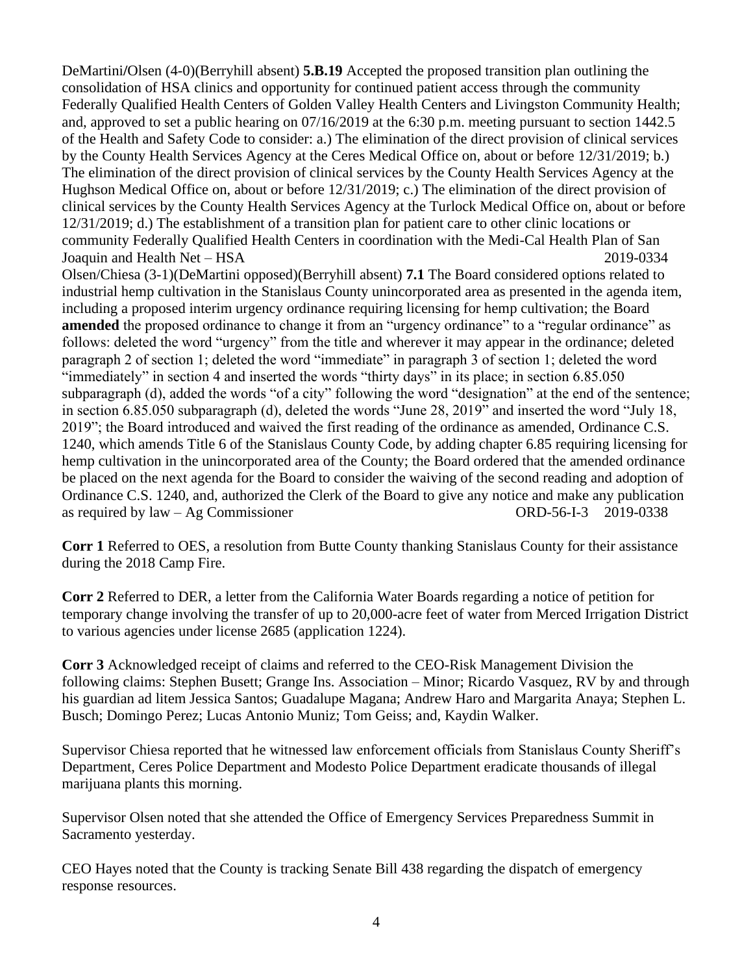DeMartini**/**Olsen (4-0)(Berryhill absent) **5.B.19** Accepted the proposed transition plan outlining the consolidation of HSA clinics and opportunity for continued patient access through the community Federally Qualified Health Centers of Golden Valley Health Centers and Livingston Community Health; and, approved to set a public hearing on 07/16/2019 at the 6:30 p.m. meeting pursuant to section 1442.5 of the Health and Safety Code to consider: a.) The elimination of the direct provision of clinical services by the County Health Services Agency at the Ceres Medical Office on, about or before 12/31/2019; b.) The elimination of the direct provision of clinical services by the County Health Services Agency at the Hughson Medical Office on, about or before 12/31/2019; c.) The elimination of the direct provision of clinical services by the County Health Services Agency at the Turlock Medical Office on, about or before 12/31/2019; d.) The establishment of a transition plan for patient care to other clinic locations or community Federally Qualified Health Centers in coordination with the Medi-Cal Health Plan of San Joaquin and Health Net – HSA 2019-0334

Olsen/Chiesa (3-1)(DeMartini opposed)(Berryhill absent) **7.1** The Board considered options related to industrial hemp cultivation in the Stanislaus County unincorporated area as presented in the agenda item, including a proposed interim urgency ordinance requiring licensing for hemp cultivation; the Board **amended** the proposed ordinance to change it from an "urgency ordinance" to a "regular ordinance" as follows: deleted the word "urgency" from the title and wherever it may appear in the ordinance; deleted paragraph 2 of section 1; deleted the word "immediate" in paragraph 3 of section 1; deleted the word "immediately" in section 4 and inserted the words "thirty days" in its place; in section 6.85.050 subparagraph (d), added the words "of a city" following the word "designation" at the end of the sentence; in section 6.85.050 subparagraph (d), deleted the words "June 28, 2019" and inserted the word "July 18, 2019"; the Board introduced and waived the first reading of the ordinance as amended, Ordinance C.S. 1240, which amends Title 6 of the Stanislaus County Code, by adding chapter 6.85 requiring licensing for hemp cultivation in the unincorporated area of the County; the Board ordered that the amended ordinance be placed on the next agenda for the Board to consider the waiving of the second reading and adoption of Ordinance C.S. 1240, and, authorized the Clerk of the Board to give any notice and make any publication as required by law – Ag Commissioner ORD-56-I-3 2019-0338

**Corr 1** Referred to OES, a resolution from Butte County thanking Stanislaus County for their assistance during the 2018 Camp Fire.

**Corr 2** Referred to DER, a letter from the California Water Boards regarding a notice of petition for temporary change involving the transfer of up to 20,000-acre feet of water from Merced Irrigation District to various agencies under license 2685 (application 1224).

**Corr 3** Acknowledged receipt of claims and referred to the CEO-Risk Management Division the following claims: Stephen Busett; Grange Ins. Association – Minor; Ricardo Vasquez, RV by and through his guardian ad litem Jessica Santos; Guadalupe Magana; Andrew Haro and Margarita Anaya; Stephen L. Busch; Domingo Perez; Lucas Antonio Muniz; Tom Geiss; and, Kaydin Walker.

Supervisor Chiesa reported that he witnessed law enforcement officials from Stanislaus County Sheriff's Department, Ceres Police Department and Modesto Police Department eradicate thousands of illegal marijuana plants this morning.

Supervisor Olsen noted that she attended the Office of Emergency Services Preparedness Summit in Sacramento yesterday.

CEO Hayes noted that the County is tracking Senate Bill 438 regarding the dispatch of emergency response resources.